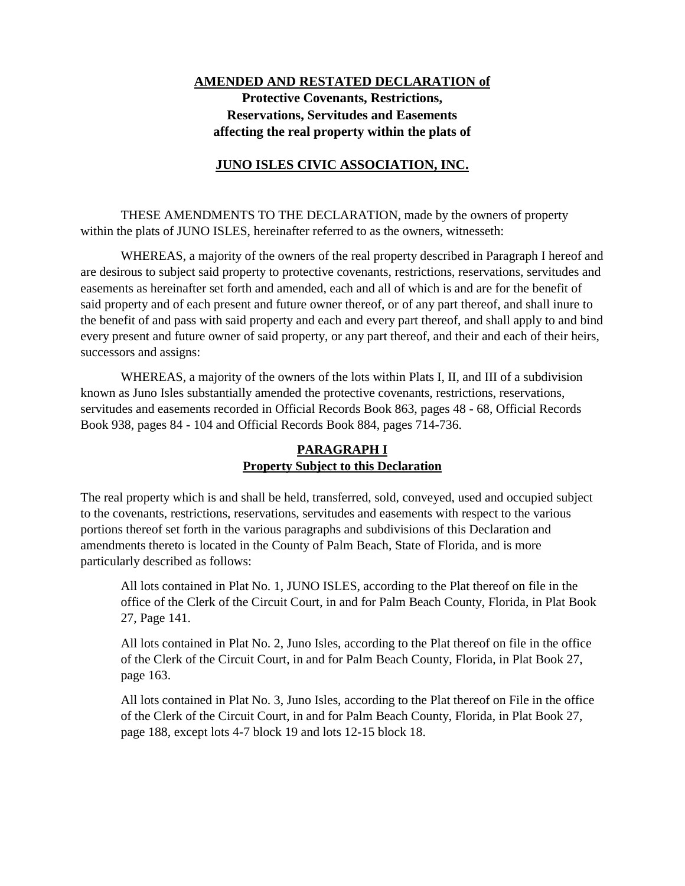# **AMENDED AND RESTATED DECLARATION of Protective Covenants, Restrictions, Reservations, Servitudes and Easements affecting the real property within the plats of**

# **JUNO ISLES CIVIC ASSOCIATION, INC.**

THESE AMENDMENTS TO THE DECLARATION, made by the owners of property within the plats of JUNO ISLES, hereinafter referred to as the owners, witnesseth:

WHEREAS, a majority of the owners of the real property described in Paragraph I hereof and are desirous to subject said property to protective covenants, restrictions, reservations, servitudes and easements as hereinafter set forth and amended, each and all of which is and are for the benefit of said property and of each present and future owner thereof, or of any part thereof, and shall inure to the benefit of and pass with said property and each and every part thereof, and shall apply to and bind every present and future owner of said property, or any part thereof, and their and each of their heirs, successors and assigns:

WHEREAS, a majority of the owners of the lots within Plats I, II, and III of a subdivision known as Juno Isles substantially amended the protective covenants, restrictions, reservations, servitudes and easements recorded in Official Records Book 863, pages 48 - 68, Official Records Book 938, pages 84 - 104 and Official Records Book 884, pages 714-736.

## **PARAGRAPH I Property Subject to this Declaration**

The real property which is and shall be held, transferred, sold, conveyed, used and occupied subject to the covenants, restrictions, reservations, servitudes and easements with respect to the various portions thereof set forth in the various paragraphs and subdivisions of this Declaration and amendments thereto is located in the County of Palm Beach, State of Florida, and is more particularly described as follows:

All lots contained in Plat No. 1, JUNO ISLES, according to the Plat thereof on file in the office of the Clerk of the Circuit Court, in and for Palm Beach County, Florida, in Plat Book 27, Page 141.

All lots contained in Plat No. 2, Juno Isles, according to the Plat thereof on file in the office of the Clerk of the Circuit Court, in and for Palm Beach County, Florida, in Plat Book 27, page 163.

All lots contained in Plat No. 3, Juno Isles, according to the Plat thereof on File in the office of the Clerk of the Circuit Court, in and for Palm Beach County, Florida, in Plat Book 27, page 188, except lots 4-7 block 19 and lots 12-15 block 18.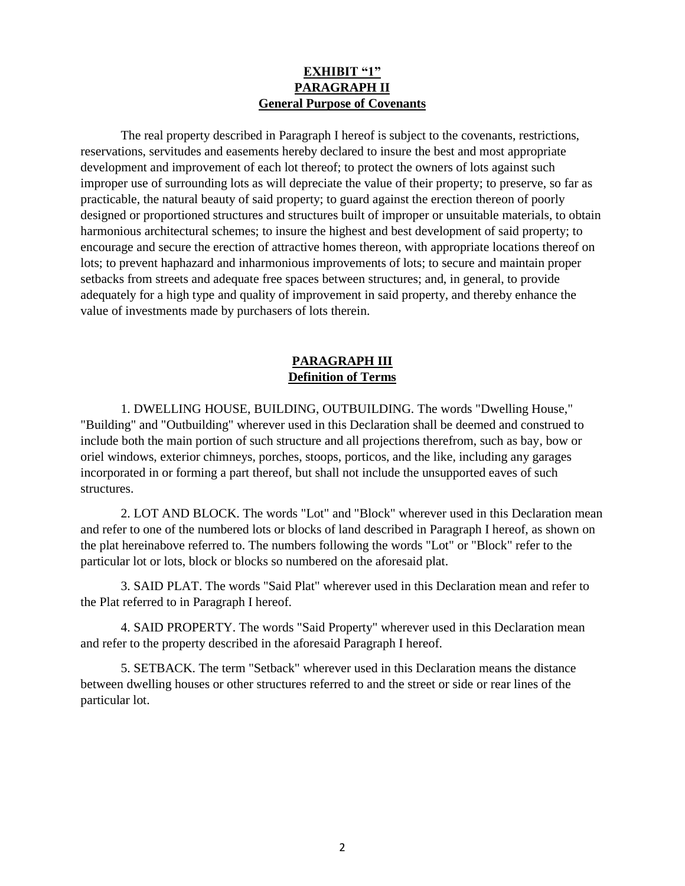### **EXHIBIT "1" PARAGRAPH II General Purpose of Covenants**

The real property described in Paragraph I hereof is subject to the covenants, restrictions, reservations, servitudes and easements hereby declared to insure the best and most appropriate development and improvement of each lot thereof; to protect the owners of lots against such improper use of surrounding lots as will depreciate the value of their property; to preserve, so far as practicable, the natural beauty of said property; to guard against the erection thereon of poorly designed or proportioned structures and structures built of improper or unsuitable materials, to obtain harmonious architectural schemes; to insure the highest and best development of said property; to encourage and secure the erection of attractive homes thereon, with appropriate locations thereof on lots; to prevent haphazard and inharmonious improvements of lots; to secure and maintain proper setbacks from streets and adequate free spaces between structures; and, in general, to provide adequately for a high type and quality of improvement in said property, and thereby enhance the value of investments made by purchasers of lots therein.

# **PARAGRAPH III Definition of Terms**

1. DWELLING HOUSE, BUILDING, OUTBUILDING. The words "Dwelling House," "Building" and "Outbuilding" wherever used in this Declaration shall be deemed and construed to include both the main portion of such structure and all projections therefrom, such as bay, bow or oriel windows, exterior chimneys, porches, stoops, porticos, and the like, including any garages incorporated in or forming a part thereof, but shall not include the unsupported eaves of such structures.

2. LOT AND BLOCK. The words "Lot" and "Block" wherever used in this Declaration mean and refer to one of the numbered lots or blocks of land described in Paragraph I hereof, as shown on the plat hereinabove referred to. The numbers following the words "Lot" or "Block" refer to the particular lot or lots, block or blocks so numbered on the aforesaid plat.

3. SAID PLAT. The words "Said Plat" wherever used in this Declaration mean and refer to the Plat referred to in Paragraph I hereof.

4. SAID PROPERTY. The words "Said Property" wherever used in this Declaration mean and refer to the property described in the aforesaid Paragraph I hereof.

5. SETBACK. The term "Setback" wherever used in this Declaration means the distance between dwelling houses or other structures referred to and the street or side or rear lines of the particular lot.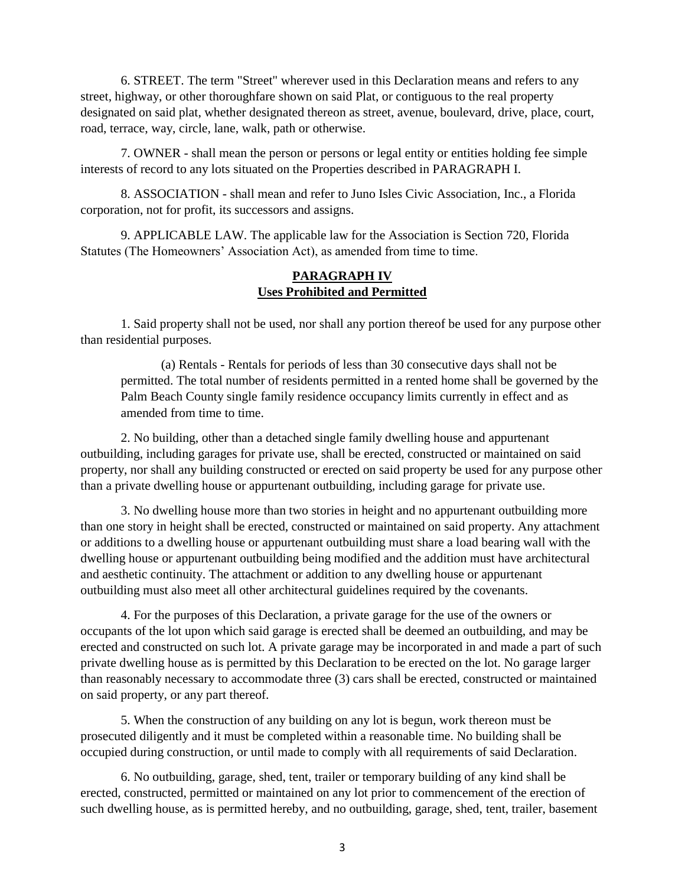6. STREET. The term "Street" wherever used in this Declaration means and refers to any street, highway, or other thoroughfare shown on said Plat, or contiguous to the real property designated on said plat, whether designated thereon as street, avenue, boulevard, drive, place, court, road, terrace, way, circle, lane, walk, path or otherwise.

7. OWNER - shall mean the person or persons or legal entity or entities holding fee simple interests of record to any lots situated on the Properties described in PARAGRAPH I.

8. ASSOCIATION - shall mean and refer to Juno Isles Civic Association, Inc., a Florida corporation, not for profit, its successors and assigns.

9. APPLICABLE LAW. The applicable law for the Association is Section 720, Florida Statutes (The Homeowners' Association Act), as amended from time to time.

#### **PARAGRAPH IV Uses Prohibited and Permitted**

1. Said property shall not be used, nor shall any portion thereof be used for any purpose other than residential purposes.

(a) Rentals - Rentals for periods of less than 30 consecutive days shall not be permitted. The total number of residents permitted in a rented home shall be governed by the Palm Beach County single family residence occupancy limits currently in effect and as amended from time to time.

2. No building, other than a detached single family dwelling house and appurtenant outbuilding, including garages for private use, shall be erected, constructed or maintained on said property, nor shall any building constructed or erected on said property be used for any purpose other than a private dwelling house or appurtenant outbuilding, including garage for private use.

3. No dwelling house more than two stories in height and no appurtenant outbuilding more than one story in height shall be erected, constructed or maintained on said property. Any attachment or additions to a dwelling house or appurtenant outbuilding must share a load bearing wall with the dwelling house or appurtenant outbuilding being modified and the addition must have architectural and aesthetic continuity. The attachment or addition to any dwelling house or appurtenant outbuilding must also meet all other architectural guidelines required by the covenants.

4. For the purposes of this Declaration, a private garage for the use of the owners or occupants of the lot upon which said garage is erected shall be deemed an outbuilding, and may be erected and constructed on such lot. A private garage may be incorporated in and made a part of such private dwelling house as is permitted by this Declaration to be erected on the lot. No garage larger than reasonably necessary to accommodate three (3) cars shall be erected, constructed or maintained on said property, or any part thereof.

5. When the construction of any building on any lot is begun, work thereon must be prosecuted diligently and it must be completed within a reasonable time. No building shall be occupied during construction, or until made to comply with all requirements of said Declaration.

6. No outbuilding, garage, shed, tent, trailer or temporary building of any kind shall be erected, constructed, permitted or maintained on any lot prior to commencement of the erection of such dwelling house, as is permitted hereby, and no outbuilding, garage, shed, tent, trailer, basement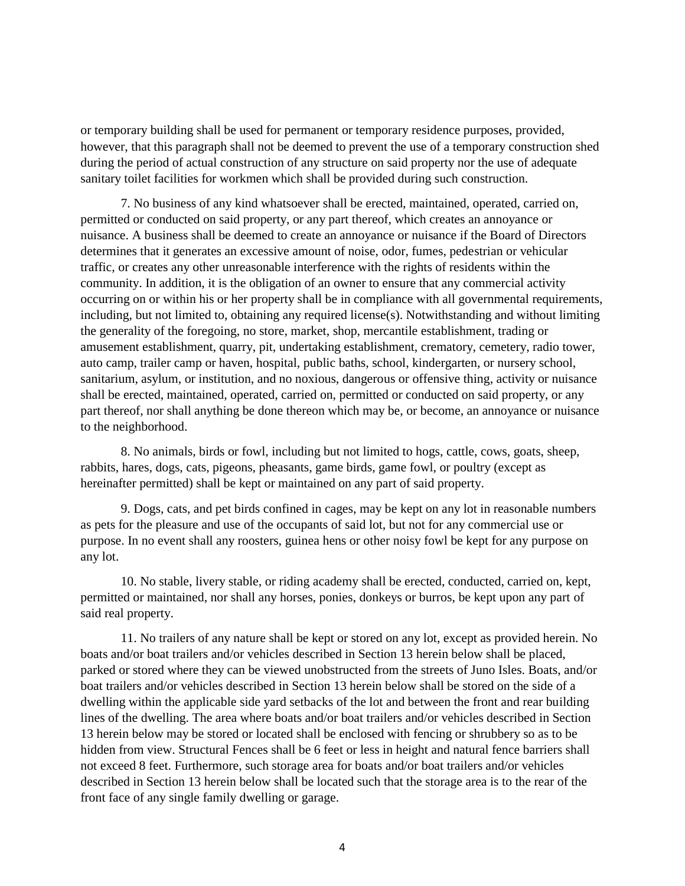or temporary building shall be used for permanent or temporary residence purposes, provided, however, that this paragraph shall not be deemed to prevent the use of a temporary construction shed during the period of actual construction of any structure on said property nor the use of adequate sanitary toilet facilities for workmen which shall be provided during such construction.

7. No business of any kind whatsoever shall be erected, maintained, operated, carried on, permitted or conducted on said property, or any part thereof, which creates an annoyance or nuisance. A business shall be deemed to create an annoyance or nuisance if the Board of Directors determines that it generates an excessive amount of noise, odor, fumes, pedestrian or vehicular traffic, or creates any other unreasonable interference with the rights of residents within the community. In addition, it is the obligation of an owner to ensure that any commercial activity occurring on or within his or her property shall be in compliance with all governmental requirements, including, but not limited to, obtaining any required license(s). Notwithstanding and without limiting the generality of the foregoing, no store, market, shop, mercantile establishment, trading or amusement establishment, quarry, pit, undertaking establishment, crematory, cemetery, radio tower, auto camp, trailer camp or haven, hospital, public baths, school, kindergarten, or nursery school, sanitarium, asylum, or institution, and no noxious, dangerous or offensive thing, activity or nuisance shall be erected, maintained, operated, carried on, permitted or conducted on said property, or any part thereof, nor shall anything be done thereon which may be, or become, an annoyance or nuisance to the neighborhood.

8. No animals, birds or fowl, including but not limited to hogs, cattle, cows, goats, sheep, rabbits, hares, dogs, cats, pigeons, pheasants, game birds, game fowl, or poultry (except as hereinafter permitted) shall be kept or maintained on any part of said property.

9. Dogs, cats, and pet birds confined in cages, may be kept on any lot in reasonable numbers as pets for the pleasure and use of the occupants of said lot, but not for any commercial use or purpose. In no event shall any roosters, guinea hens or other noisy fowl be kept for any purpose on any lot.

10. No stable, livery stable, or riding academy shall be erected, conducted, carried on, kept, permitted or maintained, nor shall any horses, ponies, donkeys or burros, be kept upon any part of said real property.

11. No trailers of any nature shall be kept or stored on any lot, except as provided herein. No boats and/or boat trailers and/or vehicles described in Section 13 herein below shall be placed, parked or stored where they can be viewed unobstructed from the streets of Juno Isles. Boats, and/or boat trailers and/or vehicles described in Section 13 herein below shall be stored on the side of a dwelling within the applicable side yard setbacks of the lot and between the front and rear building lines of the dwelling. The area where boats and/or boat trailers and/or vehicles described in Section 13 herein below may be stored or located shall be enclosed with fencing or shrubbery so as to be hidden from view. Structural Fences shall be 6 feet or less in height and natural fence barriers shall not exceed 8 feet. Furthermore, such storage area for boats and/or boat trailers and/or vehicles described in Section 13 herein below shall be located such that the storage area is to the rear of the front face of any single family dwelling or garage.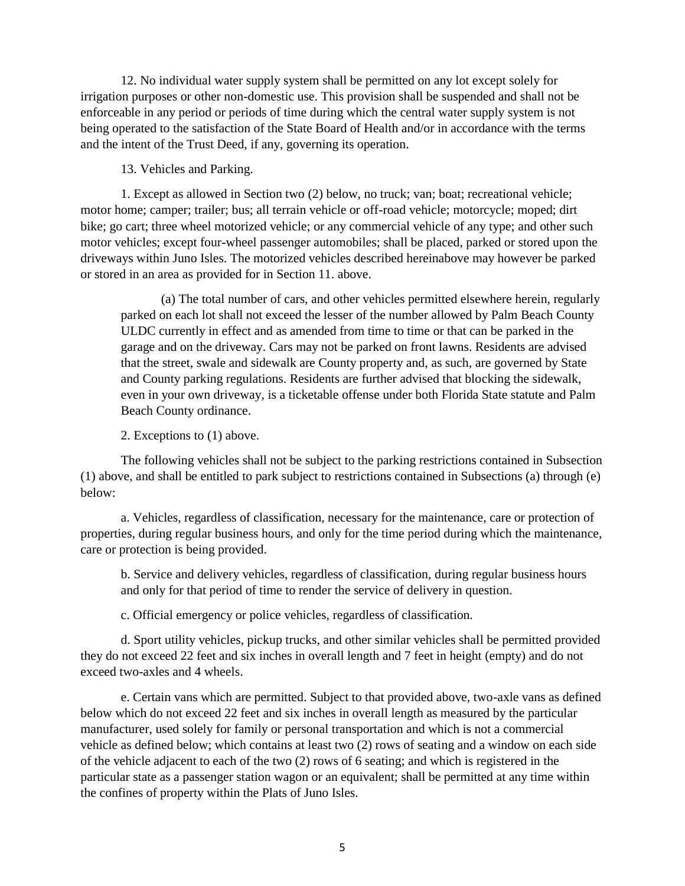12. No individual water supply system shall be permitted on any lot except solely for irrigation purposes or other non-domestic use. This provision shall be suspended and shall not be enforceable in any period or periods of time during which the central water supply system is not being operated to the satisfaction of the State Board of Health and/or in accordance with the terms and the intent of the Trust Deed, if any, governing its operation.

13. Vehicles and Parking.

1. Except as allowed in Section two (2) below, no truck; van; boat; recreational vehicle; motor home; camper; trailer; bus; all terrain vehicle or off-road vehicle; motorcycle; moped; dirt bike; go cart; three wheel motorized vehicle; or any commercial vehicle of any type; and other such motor vehicles; except four-wheel passenger automobiles; shall be placed, parked or stored upon the driveways within Juno Isles. The motorized vehicles described hereinabove may however be parked or stored in an area as provided for in Section 11. above.

(a) The total number of cars, and other vehicles permitted elsewhere herein, regularly parked on each lot shall not exceed the lesser of the number allowed by Palm Beach County ULDC currently in effect and as amended from time to time or that can be parked in the garage and on the driveway. Cars may not be parked on front lawns. Residents are advised that the street, swale and sidewalk are County property and, as such, are governed by State and County parking regulations. Residents are further advised that blocking the sidewalk, even in your own driveway, is a ticketable offense under both Florida State statute and Palm Beach County ordinance.

2. Exceptions to (1) above.

The following vehicles shall not be subject to the parking restrictions contained in Subsection (1) above, and shall be entitled to park subject to restrictions contained in Subsections (a) through (e) below:

a. Vehicles, regardless of classification, necessary for the maintenance, care or protection of properties, during regular business hours, and only for the time period during which the maintenance, care or protection is being provided.

b. Service and delivery vehicles, regardless of classification, during regular business hours and only for that period of time to render the service of delivery in question.

c. Official emergency or police vehicles, regardless of classification.

d. Sport utility vehicles, pickup trucks, and other similar vehicles shall be permitted provided they do not exceed 22 feet and six inches in overall length and 7 feet in height (empty) and do not exceed two-axles and 4 wheels.

e. Certain vans which are permitted. Subject to that provided above, two-axle vans as defined below which do not exceed 22 feet and six inches in overall length as measured by the particular manufacturer, used solely for family or personal transportation and which is not a commercial vehicle as defined below; which contains at least two (2) rows of seating and a window on each side of the vehicle adjacent to each of the two (2) rows of 6 seating; and which is registered in the particular state as a passenger station wagon or an equivalent; shall be permitted at any time within the confines of property within the Plats of Juno Isles.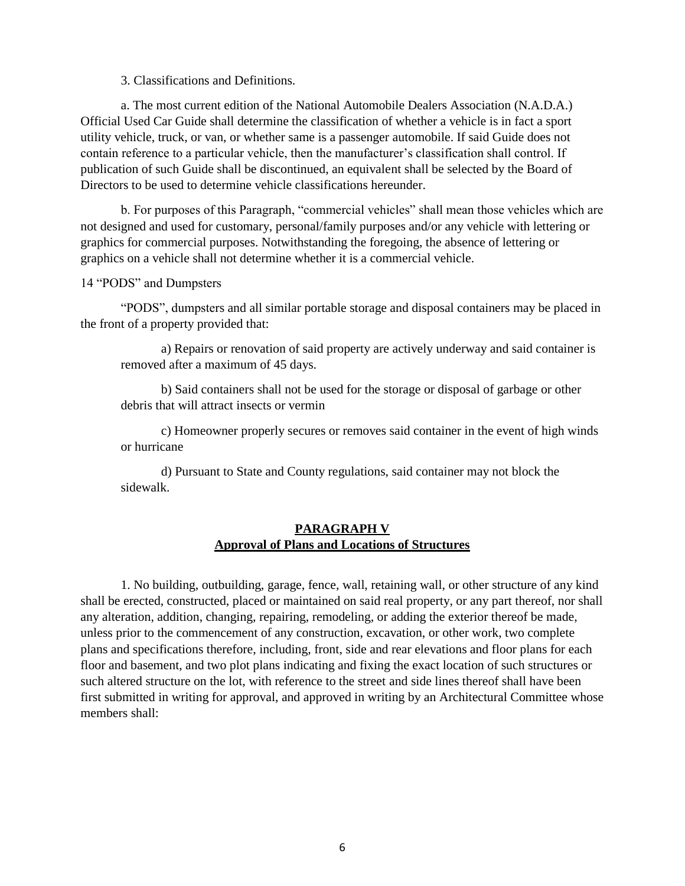3. Classifications and Definitions.

a. The most current edition of the National Automobile Dealers Association (N.A.D.A.) Official Used Car Guide shall determine the classification of whether a vehicle is in fact a sport utility vehicle, truck, or van, or whether same is a passenger automobile. If said Guide does not contain reference to a particular vehicle, then the manufacturer's classification shall control. If publication of such Guide shall be discontinued, an equivalent shall be selected by the Board of Directors to be used to determine vehicle classifications hereunder.

b. For purposes of this Paragraph, "commercial vehicles" shall mean those vehicles which are not designed and used for customary, personal/family purposes and/or any vehicle with lettering or graphics for commercial purposes. Notwithstanding the foregoing, the absence of lettering or graphics on a vehicle shall not determine whether it is a commercial vehicle.

#### 14 "PODS" and Dumpsters

"PODS", dumpsters and all similar portable storage and disposal containers may be placed in the front of a property provided that:

a) Repairs or renovation of said property are actively underway and said container is removed after a maximum of 45 days.

b) Said containers shall not be used for the storage or disposal of garbage or other debris that will attract insects or vermin

c) Homeowner properly secures or removes said container in the event of high winds or hurricane

d) Pursuant to State and County regulations, said container may not block the sidewalk.

#### **PARAGRAPH V Approval of Plans and Locations of Structures**

1. No building, outbuilding, garage, fence, wall, retaining wall, or other structure of any kind shall be erected, constructed, placed or maintained on said real property, or any part thereof, nor shall any alteration, addition, changing, repairing, remodeling, or adding the exterior thereof be made, unless prior to the commencement of any construction, excavation, or other work, two complete plans and specifications therefore, including, front, side and rear elevations and floor plans for each floor and basement, and two plot plans indicating and fixing the exact location of such structures or such altered structure on the lot, with reference to the street and side lines thereof shall have been first submitted in writing for approval, and approved in writing by an Architectural Committee whose members shall: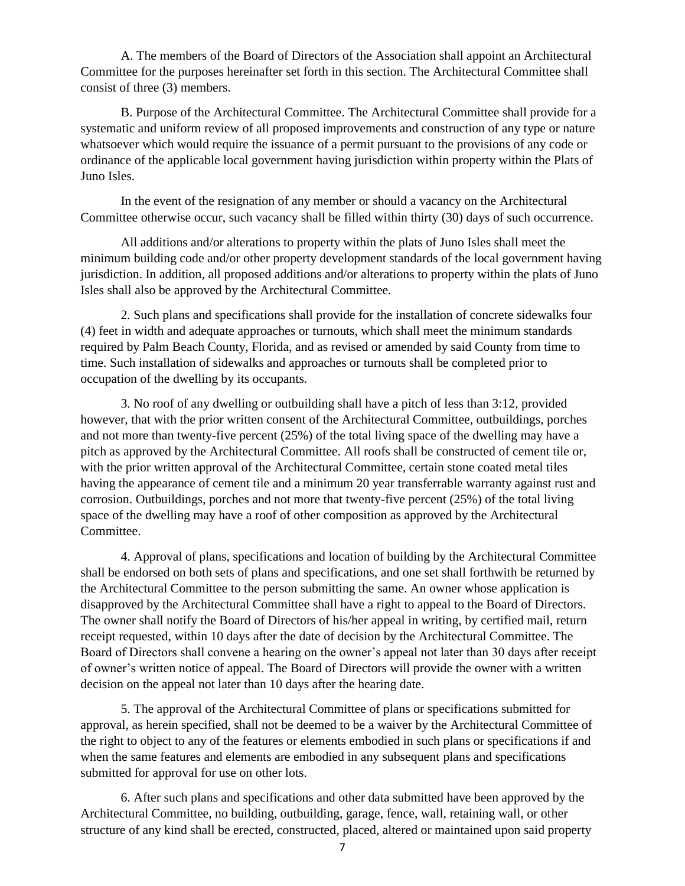A. The members of the Board of Directors of the Association shall appoint an Architectural Committee for the purposes hereinafter set forth in this section. The Architectural Committee shall consist of three (3) members.

B. Purpose of the Architectural Committee. The Architectural Committee shall provide for a systematic and uniform review of all proposed improvements and construction of any type or nature whatsoever which would require the issuance of a permit pursuant to the provisions of any code or ordinance of the applicable local government having jurisdiction within property within the Plats of Juno Isles.

In the event of the resignation of any member or should a vacancy on the Architectural Committee otherwise occur, such vacancy shall be filled within thirty (30) days of such occurrence.

All additions and/or alterations to property within the plats of Juno Isles shall meet the minimum building code and/or other property development standards of the local government having jurisdiction. In addition, all proposed additions and/or alterations to property within the plats of Juno Isles shall also be approved by the Architectural Committee.

2. Such plans and specifications shall provide for the installation of concrete sidewalks four (4) feet in width and adequate approaches or turnouts, which shall meet the minimum standards required by Palm Beach County, Florida, and as revised or amended by said County from time to time. Such installation of sidewalks and approaches or turnouts shall be completed prior to occupation of the dwelling by its occupants.

3. No roof of any dwelling or outbuilding shall have a pitch of less than 3:12, provided however, that with the prior written consent of the Architectural Committee, outbuildings, porches and not more than twenty-five percent (25%) of the total living space of the dwelling may have a pitch as approved by the Architectural Committee. All roofs shall be constructed of cement tile or, with the prior written approval of the Architectural Committee, certain stone coated metal tiles having the appearance of cement tile and a minimum 20 year transferrable warranty against rust and corrosion. Outbuildings, porches and not more that twenty-five percent (25%) of the total living space of the dwelling may have a roof of other composition as approved by the Architectural Committee.

4. Approval of plans, specifications and location of building by the Architectural Committee shall be endorsed on both sets of plans and specifications, and one set shall forthwith be returned by the Architectural Committee to the person submitting the same. An owner whose application is disapproved by the Architectural Committee shall have a right to appeal to the Board of Directors. The owner shall notify the Board of Directors of his/her appeal in writing, by certified mail, return receipt requested, within 10 days after the date of decision by the Architectural Committee. The Board of Directors shall convene a hearing on the owner's appeal not later than 30 days after receipt of owner's written notice of appeal. The Board of Directors will provide the owner with a written decision on the appeal not later than 10 days after the hearing date.

5. The approval of the Architectural Committee of plans or specifications submitted for approval, as herein specified, shall not be deemed to be a waiver by the Architectural Committee of the right to object to any of the features or elements embodied in such plans or specifications if and when the same features and elements are embodied in any subsequent plans and specifications submitted for approval for use on other lots.

6. After such plans and specifications and other data submitted have been approved by the Architectural Committee, no building, outbuilding, garage, fence, wall, retaining wall, or other structure of any kind shall be erected, constructed, placed, altered or maintained upon said property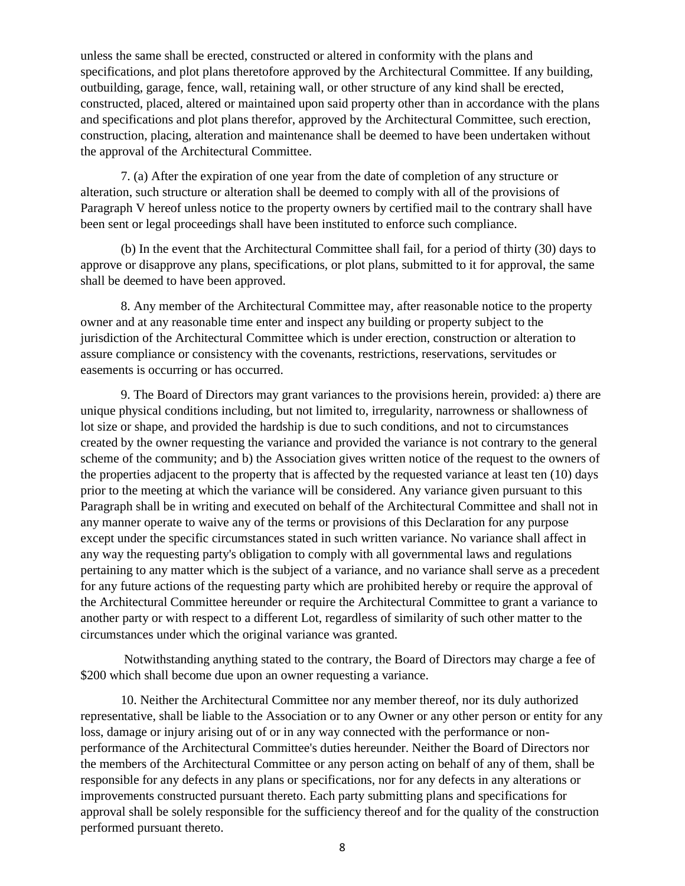unless the same shall be erected, constructed or altered in conformity with the plans and specifications, and plot plans theretofore approved by the Architectural Committee. If any building, outbuilding, garage, fence, wall, retaining wall, or other structure of any kind shall be erected, constructed, placed, altered or maintained upon said property other than in accordance with the plans and specifications and plot plans therefor, approved by the Architectural Committee, such erection, construction, placing, alteration and maintenance shall be deemed to have been undertaken without the approval of the Architectural Committee.

7. (a) After the expiration of one year from the date of completion of any structure or alteration, such structure or alteration shall be deemed to comply with all of the provisions of Paragraph V hereof unless notice to the property owners by certified mail to the contrary shall have been sent or legal proceedings shall have been instituted to enforce such compliance.

(b) In the event that the Architectural Committee shall fail, for a period of thirty (30) days to approve or disapprove any plans, specifications, or plot plans, submitted to it for approval, the same shall be deemed to have been approved.

8. Any member of the Architectural Committee may, after reasonable notice to the property owner and at any reasonable time enter and inspect any building or property subject to the jurisdiction of the Architectural Committee which is under erection, construction or alteration to assure compliance or consistency with the covenants, restrictions, reservations, servitudes or easements is occurring or has occurred.

9. The Board of Directors may grant variances to the provisions herein, provided: a) there are unique physical conditions including, but not limited to, irregularity, narrowness or shallowness of lot size or shape, and provided the hardship is due to such conditions, and not to circumstances created by the owner requesting the variance and provided the variance is not contrary to the general scheme of the community; and b) the Association gives written notice of the request to the owners of the properties adjacent to the property that is affected by the requested variance at least ten (10) days prior to the meeting at which the variance will be considered. Any variance given pursuant to this Paragraph shall be in writing and executed on behalf of the Architectural Committee and shall not in any manner operate to waive any of the terms or provisions of this Declaration for any purpose except under the specific circumstances stated in such written variance. No variance shall affect in any way the requesting party's obligation to comply with all governmental laws and regulations pertaining to any matter which is the subject of a variance, and no variance shall serve as a precedent for any future actions of the requesting party which are prohibited hereby or require the approval of the Architectural Committee hereunder or require the Architectural Committee to grant a variance to another party or with respect to a different Lot, regardless of similarity of such other matter to the circumstances under which the original variance was granted.

Notwithstanding anything stated to the contrary, the Board of Directors may charge a fee of \$200 which shall become due upon an owner requesting a variance.

10. Neither the Architectural Committee nor any member thereof, nor its duly authorized representative, shall be liable to the Association or to any Owner or any other person or entity for any loss, damage or injury arising out of or in any way connected with the performance or nonperformance of the Architectural Committee's duties hereunder. Neither the Board of Directors nor the members of the Architectural Committee or any person acting on behalf of any of them, shall be responsible for any defects in any plans or specifications, nor for any defects in any alterations or improvements constructed pursuant thereto. Each party submitting plans and specifications for approval shall be solely responsible for the sufficiency thereof and for the quality of the construction performed pursuant thereto.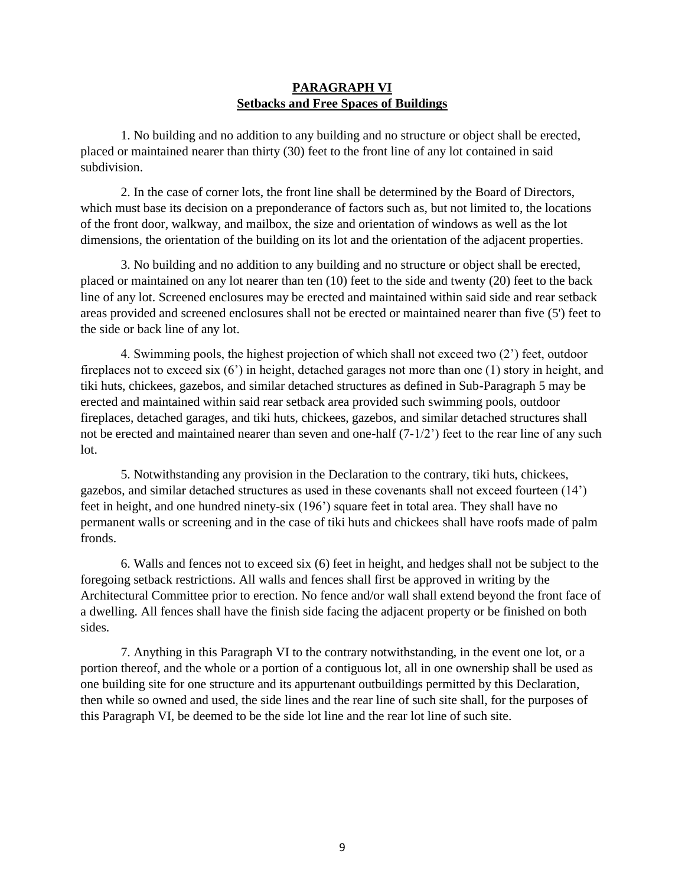### **PARAGRAPH VI Setbacks and Free Spaces of Buildings**

1. No building and no addition to any building and no structure or object shall be erected, placed or maintained nearer than thirty (30) feet to the front line of any lot contained in said subdivision.

2. In the case of corner lots, the front line shall be determined by the Board of Directors, which must base its decision on a preponderance of factors such as, but not limited to, the locations of the front door, walkway, and mailbox, the size and orientation of windows as well as the lot dimensions, the orientation of the building on its lot and the orientation of the adjacent properties.

3. No building and no addition to any building and no structure or object shall be erected, placed or maintained on any lot nearer than ten (10) feet to the side and twenty (20) feet to the back line of any lot. Screened enclosures may be erected and maintained within said side and rear setback areas provided and screened enclosures shall not be erected or maintained nearer than five (5') feet to the side or back line of any lot.

4. Swimming pools, the highest projection of which shall not exceed two (2') feet, outdoor fireplaces not to exceed six (6') in height, detached garages not more than one (1) story in height, and tiki huts, chickees, gazebos, and similar detached structures as defined in Sub-Paragraph 5 may be erected and maintained within said rear setback area provided such swimming pools, outdoor fireplaces, detached garages, and tiki huts, chickees, gazebos, and similar detached structures shall not be erected and maintained nearer than seven and one-half  $(7-1/2)$  feet to the rear line of any such lot.

5. Notwithstanding any provision in the Declaration to the contrary, tiki huts, chickees, gazebos, and similar detached structures as used in these covenants shall not exceed fourteen (14') feet in height, and one hundred ninety-six (196') square feet in total area. They shall have no permanent walls or screening and in the case of tiki huts and chickees shall have roofs made of palm fronds.

6. Walls and fences not to exceed six (6) feet in height, and hedges shall not be subject to the foregoing setback restrictions. All walls and fences shall first be approved in writing by the Architectural Committee prior to erection. No fence and/or wall shall extend beyond the front face of a dwelling. All fences shall have the finish side facing the adjacent property or be finished on both sides.

7. Anything in this Paragraph VI to the contrary notwithstanding, in the event one lot, or a portion thereof, and the whole or a portion of a contiguous lot, all in one ownership shall be used as one building site for one structure and its appurtenant outbuildings permitted by this Declaration, then while so owned and used, the side lines and the rear line of such site shall, for the purposes of this Paragraph VI, be deemed to be the side lot line and the rear lot line of such site.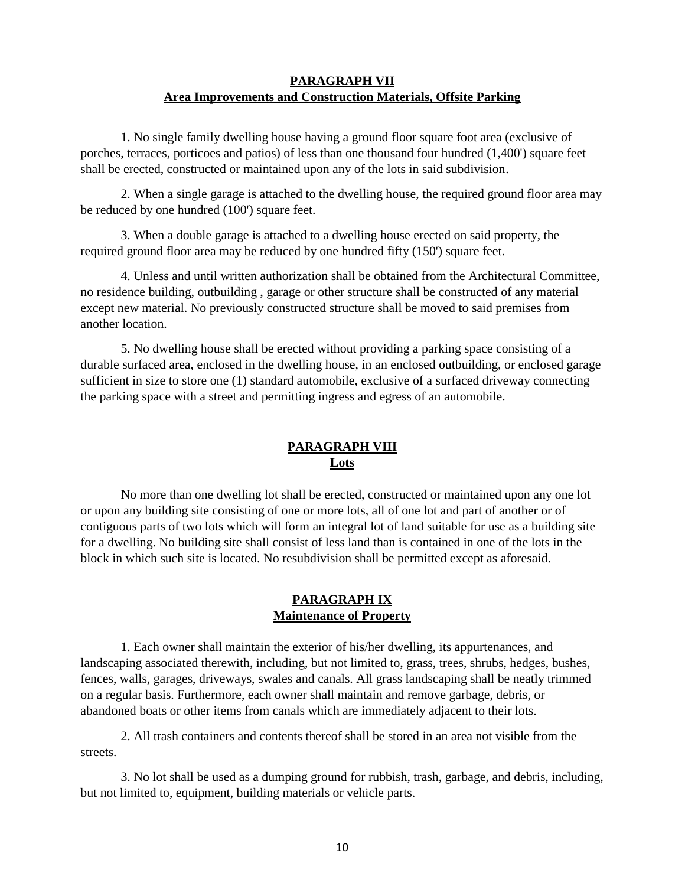# **PARAGRAPH VII Area Improvements and Construction Materials, Offsite Parking**

1. No single family dwelling house having a ground floor square foot area (exclusive of porches, terraces, porticoes and patios) of less than one thousand four hundred (1,400') square feet shall be erected, constructed or maintained upon any of the lots in said subdivision.

2. When a single garage is attached to the dwelling house, the required ground floor area may be reduced by one hundred (100') square feet.

3. When a double garage is attached to a dwelling house erected on said property, the required ground floor area may be reduced by one hundred fifty (150') square feet.

4. Unless and until written authorization shall be obtained from the Architectural Committee, no residence building, outbuilding , garage or other structure shall be constructed of any material except new material. No previously constructed structure shall be moved to said premises from another location.

5. No dwelling house shall be erected without providing a parking space consisting of a durable surfaced area, enclosed in the dwelling house, in an enclosed outbuilding, or enclosed garage sufficient in size to store one (1) standard automobile, exclusive of a surfaced driveway connecting the parking space with a street and permitting ingress and egress of an automobile.

# **PARAGRAPH VIII Lots**

No more than one dwelling lot shall be erected, constructed or maintained upon any one lot or upon any building site consisting of one or more lots, all of one lot and part of another or of contiguous parts of two lots which will form an integral lot of land suitable for use as a building site for a dwelling. No building site shall consist of less land than is contained in one of the lots in the block in which such site is located. No resubdivision shall be permitted except as aforesaid.

### **PARAGRAPH IX Maintenance of Property**

1. Each owner shall maintain the exterior of his/her dwelling, its appurtenances, and landscaping associated therewith, including, but not limited to, grass, trees, shrubs, hedges, bushes, fences, walls, garages, driveways, swales and canals. All grass landscaping shall be neatly trimmed on a regular basis. Furthermore, each owner shall maintain and remove garbage, debris, or abandoned boats or other items from canals which are immediately adjacent to their lots.

2. All trash containers and contents thereof shall be stored in an area not visible from the streets.

3. No lot shall be used as a dumping ground for rubbish, trash, garbage, and debris, including, but not limited to, equipment, building materials or vehicle parts.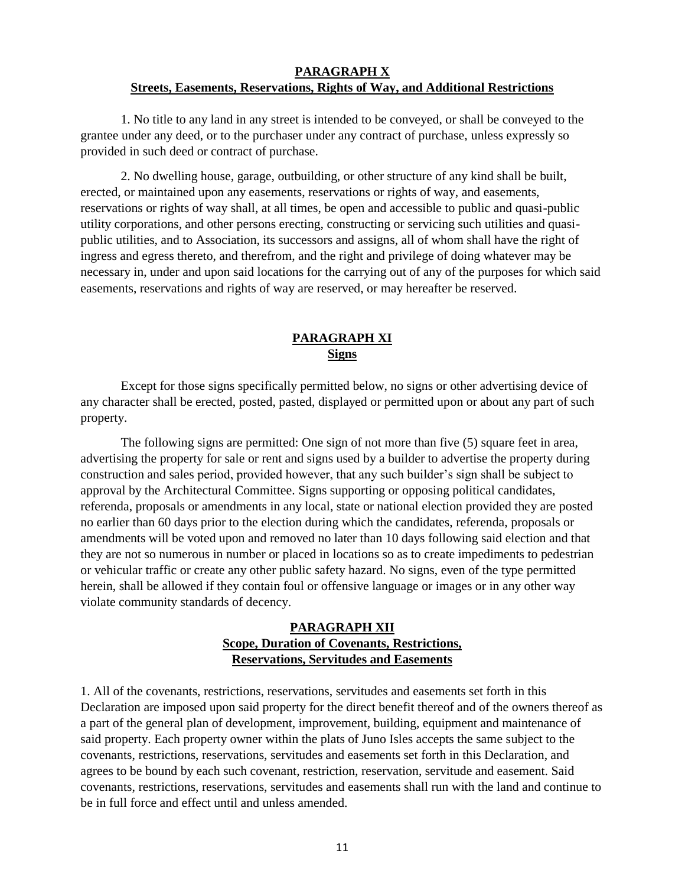#### **PARAGRAPH X Streets, Easements, Reservations, Rights of Way, and Additional Restrictions**

1. No title to any land in any street is intended to be conveyed, or shall be conveyed to the grantee under any deed, or to the purchaser under any contract of purchase, unless expressly so provided in such deed or contract of purchase.

2. No dwelling house, garage, outbuilding, or other structure of any kind shall be built, erected, or maintained upon any easements, reservations or rights of way, and easements, reservations or rights of way shall, at all times, be open and accessible to public and quasi-public utility corporations, and other persons erecting, constructing or servicing such utilities and quasipublic utilities, and to Association, its successors and assigns, all of whom shall have the right of ingress and egress thereto, and therefrom, and the right and privilege of doing whatever may be necessary in, under and upon said locations for the carrying out of any of the purposes for which said easements, reservations and rights of way are reserved, or may hereafter be reserved.

# **PARAGRAPH XI Signs**

Except for those signs specifically permitted below, no signs or other advertising device of any character shall be erected, posted, pasted, displayed or permitted upon or about any part of such property.

The following signs are permitted: One sign of not more than five (5) square feet in area, advertising the property for sale or rent and signs used by a builder to advertise the property during construction and sales period, provided however, that any such builder's sign shall be subject to approval by the Architectural Committee. Signs supporting or opposing political candidates, referenda, proposals or amendments in any local, state or national election provided they are posted no earlier than 60 days prior to the election during which the candidates, referenda, proposals or amendments will be voted upon and removed no later than 10 days following said election and that they are not so numerous in number or placed in locations so as to create impediments to pedestrian or vehicular traffic or create any other public safety hazard. No signs, even of the type permitted herein, shall be allowed if they contain foul or offensive language or images or in any other way violate community standards of decency.

## **PARAGRAPH XII Scope, Duration of Covenants, Restrictions, Reservations, Servitudes and Easements**

1. All of the covenants, restrictions, reservations, servitudes and easements set forth in this Declaration are imposed upon said property for the direct benefit thereof and of the owners thereof as a part of the general plan of development, improvement, building, equipment and maintenance of said property. Each property owner within the plats of Juno Isles accepts the same subject to the covenants, restrictions, reservations, servitudes and easements set forth in this Declaration, and agrees to be bound by each such covenant, restriction, reservation, servitude and easement. Said covenants, restrictions, reservations, servitudes and easements shall run with the land and continue to be in full force and effect until and unless amended.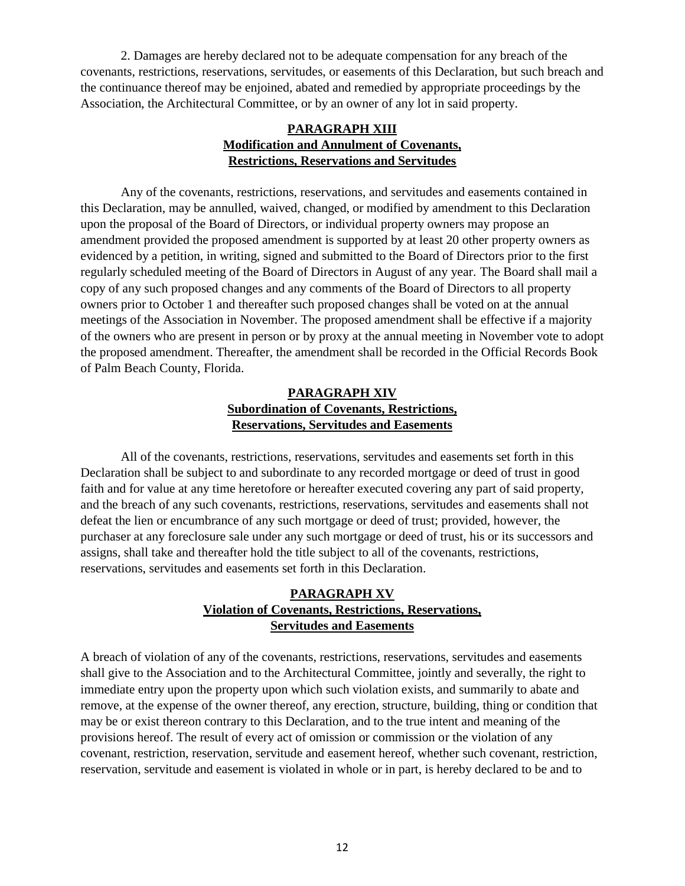2. Damages are hereby declared not to be adequate compensation for any breach of the covenants, restrictions, reservations, servitudes, or easements of this Declaration, but such breach and the continuance thereof may be enjoined, abated and remedied by appropriate proceedings by the Association, the Architectural Committee, or by an owner of any lot in said property.

## **PARAGRAPH XIII Modification and Annulment of Covenants, Restrictions, Reservations and Servitudes**

Any of the covenants, restrictions, reservations, and servitudes and easements contained in this Declaration, may be annulled, waived, changed, or modified by amendment to this Declaration upon the proposal of the Board of Directors, or individual property owners may propose an amendment provided the proposed amendment is supported by at least 20 other property owners as evidenced by a petition, in writing, signed and submitted to the Board of Directors prior to the first regularly scheduled meeting of the Board of Directors in August of any year. The Board shall mail a copy of any such proposed changes and any comments of the Board of Directors to all property owners prior to October 1 and thereafter such proposed changes shall be voted on at the annual meetings of the Association in November. The proposed amendment shall be effective if a majority of the owners who are present in person or by proxy at the annual meeting in November vote to adopt the proposed amendment. Thereafter, the amendment shall be recorded in the Official Records Book of Palm Beach County, Florida.

# **PARAGRAPH XIV Subordination of Covenants, Restrictions, Reservations, Servitudes and Easements**

All of the covenants, restrictions, reservations, servitudes and easements set forth in this Declaration shall be subject to and subordinate to any recorded mortgage or deed of trust in good faith and for value at any time heretofore or hereafter executed covering any part of said property, and the breach of any such covenants, restrictions, reservations, servitudes and easements shall not defeat the lien or encumbrance of any such mortgage or deed of trust; provided, however, the purchaser at any foreclosure sale under any such mortgage or deed of trust, his or its successors and assigns, shall take and thereafter hold the title subject to all of the covenants, restrictions, reservations, servitudes and easements set forth in this Declaration.

# **PARAGRAPH XV Violation of Covenants, Restrictions, Reservations, Servitudes and Easements**

A breach of violation of any of the covenants, restrictions, reservations, servitudes and easements shall give to the Association and to the Architectural Committee, jointly and severally, the right to immediate entry upon the property upon which such violation exists, and summarily to abate and remove, at the expense of the owner thereof, any erection, structure, building, thing or condition that may be or exist thereon contrary to this Declaration, and to the true intent and meaning of the provisions hereof. The result of every act of omission or commission or the violation of any covenant, restriction, reservation, servitude and easement hereof, whether such covenant, restriction, reservation, servitude and easement is violated in whole or in part, is hereby declared to be and to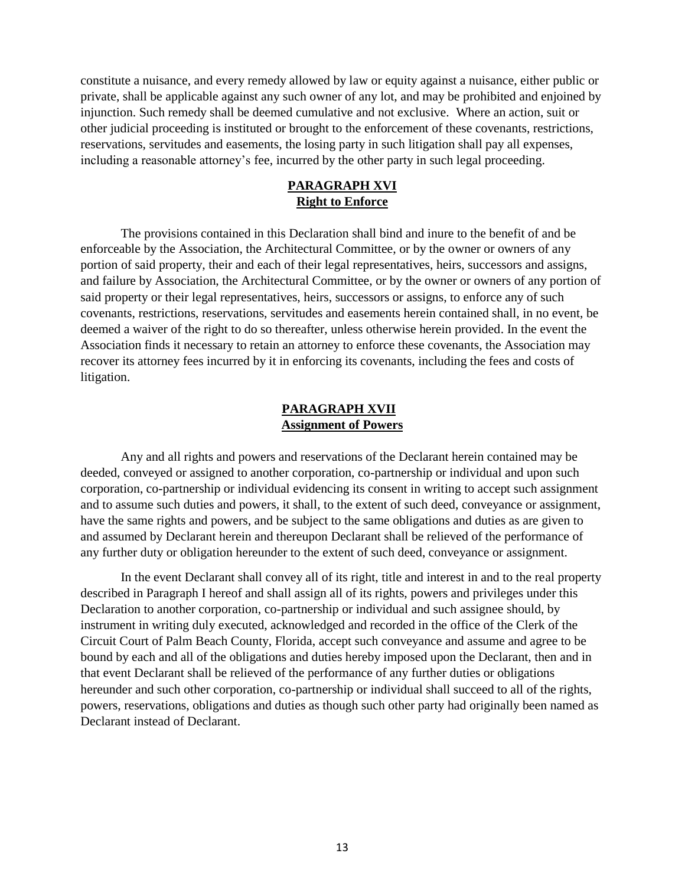constitute a nuisance, and every remedy allowed by law or equity against a nuisance, either public or private, shall be applicable against any such owner of any lot, and may be prohibited and enjoined by injunction. Such remedy shall be deemed cumulative and not exclusive. Where an action, suit or other judicial proceeding is instituted or brought to the enforcement of these covenants, restrictions, reservations, servitudes and easements, the losing party in such litigation shall pay all expenses, including a reasonable attorney's fee, incurred by the other party in such legal proceeding.

# **PARAGRAPH XVI Right to Enforce**

The provisions contained in this Declaration shall bind and inure to the benefit of and be enforceable by the Association, the Architectural Committee, or by the owner or owners of any portion of said property, their and each of their legal representatives, heirs, successors and assigns, and failure by Association, the Architectural Committee, or by the owner or owners of any portion of said property or their legal representatives, heirs, successors or assigns, to enforce any of such covenants, restrictions, reservations, servitudes and easements herein contained shall, in no event, be deemed a waiver of the right to do so thereafter, unless otherwise herein provided. In the event the Association finds it necessary to retain an attorney to enforce these covenants, the Association may recover its attorney fees incurred by it in enforcing its covenants, including the fees and costs of litigation.

#### **PARAGRAPH XVII Assignment of Powers**

Any and all rights and powers and reservations of the Declarant herein contained may be deeded, conveyed or assigned to another corporation, co-partnership or individual and upon such corporation, co-partnership or individual evidencing its consent in writing to accept such assignment and to assume such duties and powers, it shall, to the extent of such deed, conveyance or assignment, have the same rights and powers, and be subject to the same obligations and duties as are given to and assumed by Declarant herein and thereupon Declarant shall be relieved of the performance of any further duty or obligation hereunder to the extent of such deed, conveyance or assignment.

In the event Declarant shall convey all of its right, title and interest in and to the real property described in Paragraph I hereof and shall assign all of its rights, powers and privileges under this Declaration to another corporation, co-partnership or individual and such assignee should, by instrument in writing duly executed, acknowledged and recorded in the office of the Clerk of the Circuit Court of Palm Beach County, Florida, accept such conveyance and assume and agree to be bound by each and all of the obligations and duties hereby imposed upon the Declarant, then and in that event Declarant shall be relieved of the performance of any further duties or obligations hereunder and such other corporation, co-partnership or individual shall succeed to all of the rights, powers, reservations, obligations and duties as though such other party had originally been named as Declarant instead of Declarant.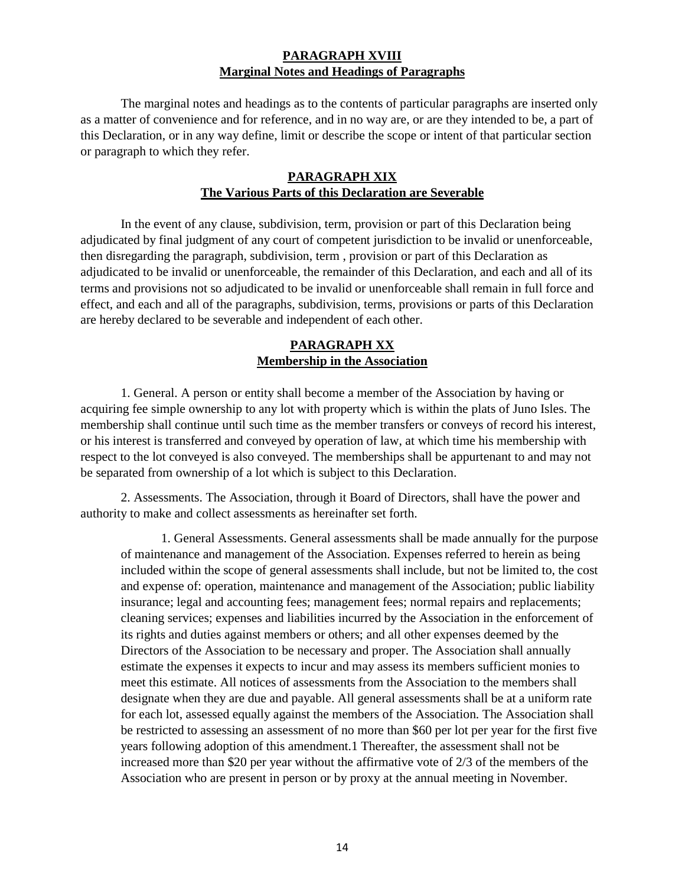### **PARAGRAPH XVIII Marginal Notes and Headings of Paragraphs**

The marginal notes and headings as to the contents of particular paragraphs are inserted only as a matter of convenience and for reference, and in no way are, or are they intended to be, a part of this Declaration, or in any way define, limit or describe the scope or intent of that particular section or paragraph to which they refer.

#### **PARAGRAPH XIX The Various Parts of this Declaration are Severable**

In the event of any clause, subdivision, term, provision or part of this Declaration being adjudicated by final judgment of any court of competent jurisdiction to be invalid or unenforceable, then disregarding the paragraph, subdivision, term , provision or part of this Declaration as adjudicated to be invalid or unenforceable, the remainder of this Declaration, and each and all of its terms and provisions not so adjudicated to be invalid or unenforceable shall remain in full force and effect, and each and all of the paragraphs, subdivision, terms, provisions or parts of this Declaration are hereby declared to be severable and independent of each other.

## **PARAGRAPH XX Membership in the Association**

1. General. A person or entity shall become a member of the Association by having or acquiring fee simple ownership to any lot with property which is within the plats of Juno Isles. The membership shall continue until such time as the member transfers or conveys of record his interest, or his interest is transferred and conveyed by operation of law, at which time his membership with respect to the lot conveyed is also conveyed. The memberships shall be appurtenant to and may not be separated from ownership of a lot which is subject to this Declaration.

2. Assessments. The Association, through it Board of Directors, shall have the power and authority to make and collect assessments as hereinafter set forth.

1. General Assessments. General assessments shall be made annually for the purpose of maintenance and management of the Association. Expenses referred to herein as being included within the scope of general assessments shall include, but not be limited to, the cost and expense of: operation, maintenance and management of the Association; public liability insurance; legal and accounting fees; management fees; normal repairs and replacements; cleaning services; expenses and liabilities incurred by the Association in the enforcement of its rights and duties against members or others; and all other expenses deemed by the Directors of the Association to be necessary and proper. The Association shall annually estimate the expenses it expects to incur and may assess its members sufficient monies to meet this estimate. All notices of assessments from the Association to the members shall designate when they are due and payable. All general assessments shall be at a uniform rate for each lot, assessed equally against the members of the Association. The Association shall be restricted to assessing an assessment of no more than \$60 per lot per year for the first five years following adoption of this amendment.1 Thereafter, the assessment shall not be increased more than \$20 per year without the affirmative vote of 2/3 of the members of the Association who are present in person or by proxy at the annual meeting in November.